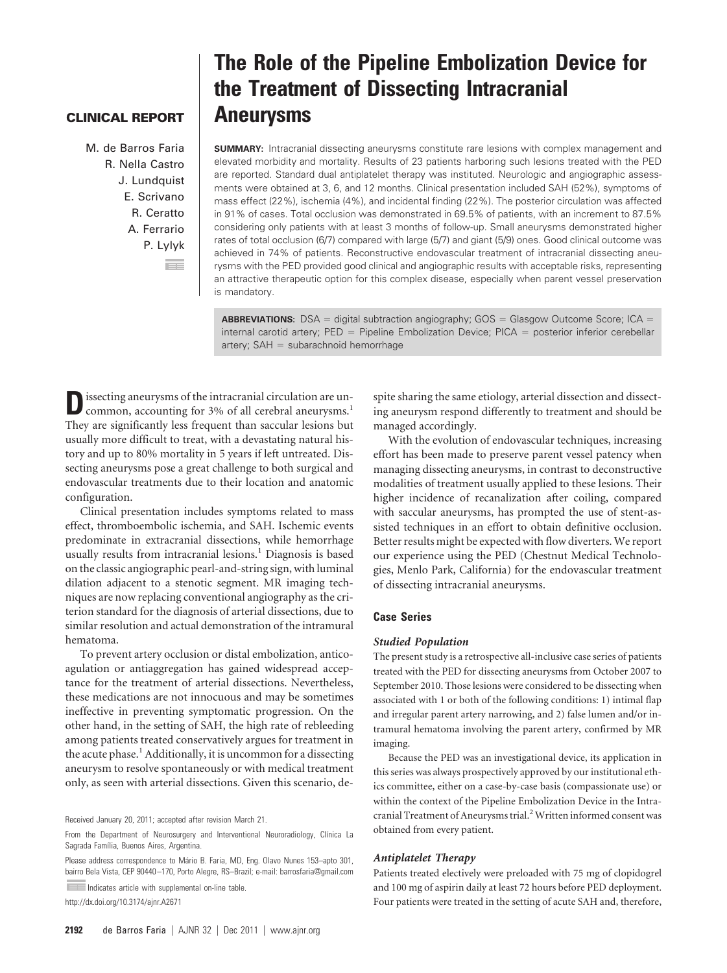## **CLINICAL REPORT**

M. de Barros Faria R. Nella Castro J. Lundquist E. Scrivano R. Ceratto A. Ferrario P. Lylyk EE

# **The Role of the Pipeline Embolization Device for the Treatment of Dissecting Intracranial Aneurysms**

**SUMMARY:** Intracranial dissecting aneurysms constitute rare lesions with complex management and elevated morbidity and mortality. Results of 23 patients harboring such lesions treated with the PED are reported. Standard dual antiplatelet therapy was instituted. Neurologic and angiographic assessments were obtained at 3, 6, and 12 months. Clinical presentation included SAH (52%), symptoms of mass effect (22%), ischemia (4%), and incidental finding (22%). The posterior circulation was affected in 91% of cases. Total occlusion was demonstrated in 69.5% of patients, with an increment to 87.5% considering only patients with at least 3 months of follow-up. Small aneurysms demonstrated higher rates of total occlusion (6/7) compared with large (5/7) and giant (5/9) ones. Good clinical outcome was achieved in 74% of patients. Reconstructive endovascular treatment of intracranial dissecting aneurysms with the PED provided good clinical and angiographic results with acceptable risks, representing an attractive therapeutic option for this complex disease, especially when parent vessel preservation is mandatory.

**ABBREVIATIONS:** DSA = digital subtraction angiography; GOS = Glasgow Outcome Score; ICA = internal carotid artery;  $PED =$  Pipeline Embolization Device;  $PICA =$  posterior inferior cerebellar  $artery$ ;  $SAH = subarachnoid$  hemorrhage

**D**issecting aneurysms of the intracranial circulation are uncommon, accounting for 3% of all cerebral aneurysms.<sup>1</sup> They are significantly less frequent than saccular lesions but usually more difficult to treat, with a devastating natural history and up to 80% mortality in 5 years if left untreated. Dissecting aneurysms pose a great challenge to both surgical and endovascular treatments due to their location and anatomic configuration.

Clinical presentation includes symptoms related to mass effect, thromboembolic ischemia, and SAH. Ischemic events predominate in extracranial dissections, while hemorrhage usually results from intracranial lesions.<sup>1</sup> Diagnosis is based on the classic angiographic pearl-and-string sign, with luminal dilation adjacent to a stenotic segment. MR imaging techniques are now replacing conventional angiography as the criterion standard for the diagnosis of arterial dissections, due to similar resolution and actual demonstration of the intramural hematoma.

To prevent artery occlusion or distal embolization, anticoagulation or antiaggregation has gained widespread acceptance for the treatment of arterial dissections. Nevertheless, these medications are not innocuous and may be sometimes ineffective in preventing symptomatic progression. On the other hand, in the setting of SAH, the high rate of rebleeding among patients treated conservatively argues for treatment in the acute phase.<sup>1</sup> Additionally, it is uncommon for a dissecting aneurysm to resolve spontaneously or with medical treatment only, as seen with arterial dissections. Given this scenario, de-

Received January 20, 2011; accepted after revision March 21.

Please address correspondence to Mário B. Faria, MD, Eng. Olavo Nunes 153-apto 301, bairro Bela Vista, CEP 90440 –170, Porto Alegre, RS–Brazil; e-mail: barrosfaria@gmail.com

Indicates article with supplemental on-line table. http://dx.doi.org/10.3174/ajnr.A2671

spite sharing the same etiology, arterial dissection and dissecting aneurysm respond differently to treatment and should be managed accordingly.

With the evolution of endovascular techniques, increasing effort has been made to preserve parent vessel patency when managing dissecting aneurysms, in contrast to deconstructive modalities of treatment usually applied to these lesions. Their higher incidence of recanalization after coiling, compared with saccular aneurysms, has prompted the use of stent-assisted techniques in an effort to obtain definitive occlusion. Better results might be expected with flow diverters. We report our experience using the PED (Chestnut Medical Technologies, Menlo Park, California) for the endovascular treatment of dissecting intracranial aneurysms.

## **Case Series**

### *Studied Population*

The present study is a retrospective all-inclusive case series of patients treated with the PED for dissecting aneurysms from October 2007 to September 2010. Those lesions were considered to be dissecting when associated with 1 or both of the following conditions: 1) intimal flap and irregular parent artery narrowing, and 2) false lumen and/or intramural hematoma involving the parent artery, confirmed by MR imaging.

Because the PED was an investigational device, its application in this series was always prospectively approved by our institutional ethics committee, either on a case-by-case basis (compassionate use) or within the context of the Pipeline Embolization Device in the Intracranial Treatment of Aneurysms trial.<sup>2</sup> Written informed consent was obtained from every patient.

### *Antiplatelet Therapy*

Patients treated electively were preloaded with 75 mg of clopidogrel and 100 mg of aspirin daily at least 72 hours before PED deployment. Four patients were treated in the setting of acute SAH and, therefore,

From the Department of Neurosurgery and Interventional Neuroradiology, Clínica La Sagrada Família, Buenos Aires, Argentina.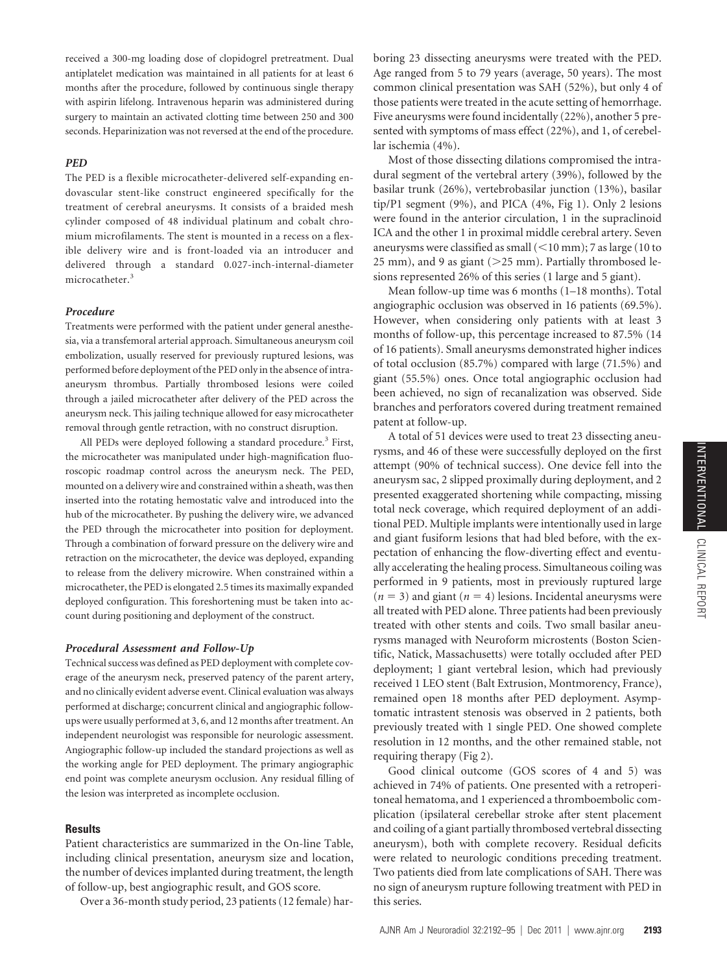received a 300-mg loading dose of clopidogrel pretreatment. Dual antiplatelet medication was maintained in all patients for at least 6 months after the procedure, followed by continuous single therapy with aspirin lifelong. Intravenous heparin was administered during surgery to maintain an activated clotting time between 250 and 300 seconds. Heparinization was not reversed at the end of the procedure.

## *PED*

The PED is a flexible microcatheter-delivered self-expanding endovascular stent-like construct engineered specifically for the treatment of cerebral aneurysms. It consists of a braided mesh cylinder composed of 48 individual platinum and cobalt chromium microfilaments. The stent is mounted in a recess on a flexible delivery wire and is front-loaded via an introducer and delivered through a standard 0.027-inch-internal-diameter microcatheter.<sup>3</sup>

## *Procedure*

Treatments were performed with the patient under general anesthesia, via a transfemoral arterial approach. Simultaneous aneurysm coil embolization, usually reserved for previously ruptured lesions, was performed before deployment of the PED only in the absence of intraaneurysm thrombus. Partially thrombosed lesions were coiled through a jailed microcatheter after delivery of the PED across the aneurysm neck. This jailing technique allowed for easy microcatheter removal through gentle retraction, with no construct disruption.

All PEDs were deployed following a standard procedure.<sup>3</sup> First, the microcatheter was manipulated under high-magnification fluoroscopic roadmap control across the aneurysm neck. The PED, mounted on a delivery wire and constrained within a sheath, was then inserted into the rotating hemostatic valve and introduced into the hub of the microcatheter. By pushing the delivery wire, we advanced the PED through the microcatheter into position for deployment. Through a combination of forward pressure on the delivery wire and retraction on the microcatheter, the device was deployed, expanding to release from the delivery microwire. When constrained within a microcatheter, the PED is elongated 2.5 times its maximally expanded deployed configuration. This foreshortening must be taken into account during positioning and deployment of the construct.

#### *Procedural Assessment and Follow-Up*

Technical success was defined as PED deployment with complete coverage of the aneurysm neck, preserved patency of the parent artery, and no clinically evident adverse event. Clinical evaluation was always performed at discharge; concurrent clinical and angiographic followups were usually performed at 3, 6, and 12 months after treatment. An independent neurologist was responsible for neurologic assessment. Angiographic follow-up included the standard projections as well as the working angle for PED deployment. The primary angiographic end point was complete aneurysm occlusion. Any residual filling of the lesion was interpreted as incomplete occlusion.

#### **Results**

Patient characteristics are summarized in the On-line Table, including clinical presentation, aneurysm size and location, the number of devices implanted during treatment, the length of follow-up, best angiographic result, and GOS score.

Over a 36-month study period, 23 patients (12 female) har-

boring 23 dissecting aneurysms were treated with the PED. Age ranged from 5 to 79 years (average, 50 years). The most common clinical presentation was SAH (52%), but only 4 of those patients were treated in the acute setting of hemorrhage. Five aneurysms were found incidentally (22%), another 5 presented with symptoms of mass effect (22%), and 1, of cerebellar ischemia (4%).

Most of those dissecting dilations compromised the intradural segment of the vertebral artery (39%), followed by the basilar trunk (26%), vertebrobasilar junction (13%), basilar tip/P1 segment (9%), and PICA (4%, Fig 1). Only 2 lesions were found in the anterior circulation, 1 in the supraclinoid ICA and the other 1 in proximal middle cerebral artery. Seven aneurysms were classified as small  $(<$  10 mm); 7 as large (10 to 25 mm), and 9 as giant ( $>$ 25 mm). Partially thrombosed lesions represented 26% of this series (1 large and 5 giant).

Mean follow-up time was 6 months (1–18 months). Total angiographic occlusion was observed in 16 patients (69.5%). However, when considering only patients with at least 3 months of follow-up, this percentage increased to 87.5% (14 of 16 patients). Small aneurysms demonstrated higher indices of total occlusion (85.7%) compared with large (71.5%) and giant (55.5%) ones. Once total angiographic occlusion had been achieved, no sign of recanalization was observed. Side branches and perforators covered during treatment remained patent at follow-up.

A total of 51 devices were used to treat 23 dissecting aneurysms, and 46 of these were successfully deployed on the first attempt (90% of technical success). One device fell into the aneurysm sac, 2 slipped proximally during deployment, and 2 presented exaggerated shortening while compacting, missing total neck coverage, which required deployment of an additional PED. Multiple implants were intentionally used in large and giant fusiform lesions that had bled before, with the expectation of enhancing the flow-diverting effect and eventually accelerating the healing process. Simultaneous coiling was performed in 9 patients, most in previously ruptured large  $(n = 3)$  and giant  $(n = 4)$  lesions. Incidental aneurysms were all treated with PED alone. Three patients had been previously treated with other stents and coils. Two small basilar aneurysms managed with Neuroform microstents (Boston Scientific, Natick, Massachusetts) were totally occluded after PED deployment; 1 giant vertebral lesion, which had previously received 1 LEO stent (Balt Extrusion, Montmorency, France), remained open 18 months after PED deployment. Asymptomatic intrastent stenosis was observed in 2 patients, both previously treated with 1 single PED. One showed complete resolution in 12 months, and the other remained stable, not requiring therapy (Fig 2).

Good clinical outcome (GOS scores of 4 and 5) was achieved in 74% of patients. One presented with a retroperitoneal hematoma, and 1 experienced a thromboembolic complication (ipsilateral cerebellar stroke after stent placement and coiling of a giant partially thrombosed vertebral dissecting aneurysm), both with complete recovery. Residual deficits were related to neurologic conditions preceding treatment. Two patients died from late complications of SAH. There was no sign of aneurysm rupture following treatment with PED in this series.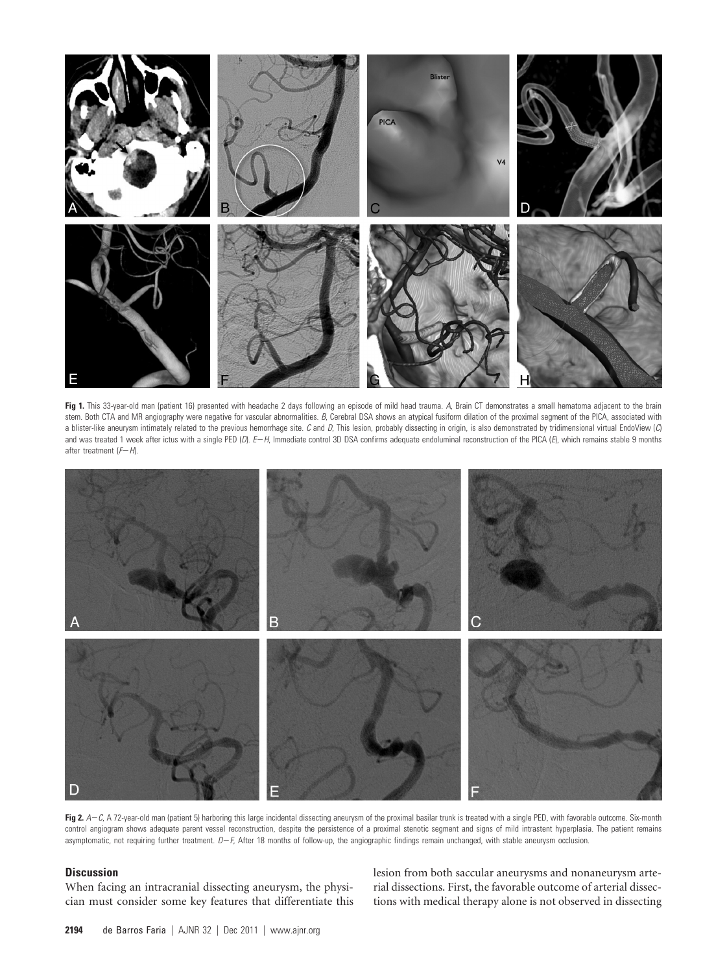

Fig 1. This 33-year-old man (patient 16) presented with headache 2 days following an episode of mild head trauma. A, Brain CT demonstrates a small hematoma adjacent to the brain stem. Both CTA and MR angiography were negative for vascular abnormalities. *B*, Cerebral DSA shows an atypical fusiform dilation of the proximal segment of the PICA, associated with a blister-like aneurysm intimately related to the previous hemorrhage site. *C* and *D*, This lesion, probably dissecting in origin, is also demonstrated by tridimensional virtual EndoView (*C*) and was treated 1 week after ictus with a single PED (*D*). *EH*, Immediate control 3D DSA confirms adequate endoluminal reconstruction of the PICA (*E*), which remains stable 9 months after treatment ( $F-H$ ).



Fig 2. A-C, A 72-year-old man (patient 5) harboring this large incidental dissecting aneurysm of the proximal basilar trunk is treated with a single PED, with favorable outcome. Six-month control angiogram shows adequate parent vessel reconstruction, despite the persistence of a proximal stenotic segment and signs of mild intrastent hyperplasia. The patient remains asymptomatic, not requiring further treatment.  $D-F$ , After 18 months of follow-up, the angiographic findings remain unchanged, with stable aneurysm occlusion.

# **Discussion**

When facing an intracranial dissecting aneurysm, the physician must consider some key features that differentiate this lesion from both saccular aneurysms and nonaneurysm arterial dissections. First, the favorable outcome of arterial dissections with medical therapy alone is not observed in dissecting